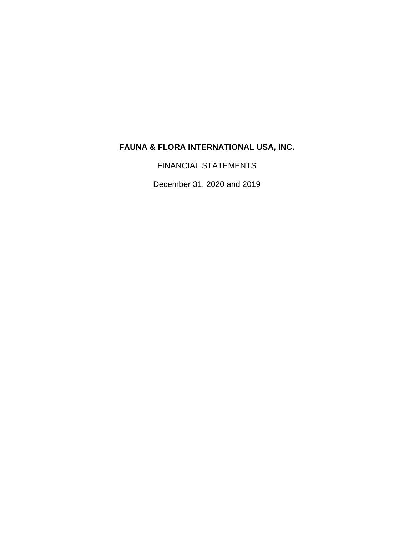FINANCIAL STATEMENTS

December 31, 2020 and 2019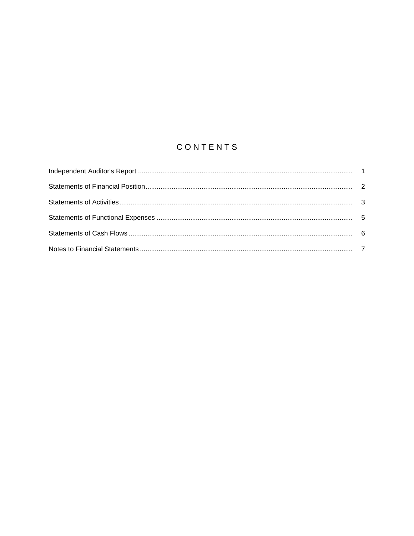# CONTENTS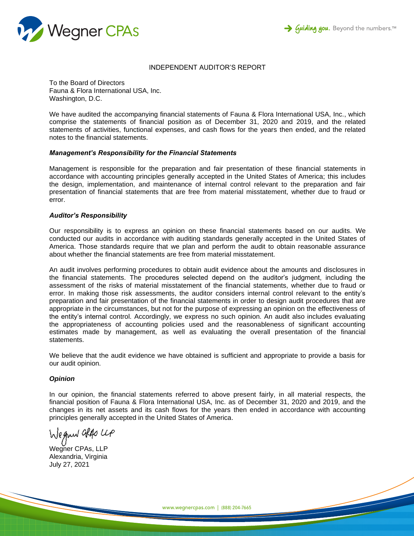



## INDEPENDENT AUDITOR'S REPORT

To the Board of Directors Fauna & Flora International USA, Inc. Washington, D.C.

We have audited the accompanying financial statements of Fauna & Flora International USA, Inc., which comprise the statements of financial position as of December 31, 2020 and 2019, and the related statements of activities, functional expenses, and cash flows for the years then ended, and the related notes to the financial statements.

#### *Management's Responsibility for the Financial Statements*

Management is responsible for the preparation and fair presentation of these financial statements in accordance with accounting principles generally accepted in the United States of America; this includes the design, implementation, and maintenance of internal control relevant to the preparation and fair presentation of financial statements that are free from material misstatement, whether due to fraud or error.

#### *Auditor's Responsibility*

Our responsibility is to express an opinion on these financial statements based on our audits. We conducted our audits in accordance with auditing standards generally accepted in the United States of America. Those standards require that we plan and perform the audit to obtain reasonable assurance about whether the financial statements are free from material misstatement.

An audit involves performing procedures to obtain audit evidence about the amounts and disclosures in the financial statements. The procedures selected depend on the auditor's judgment, including the assessment of the risks of material misstatement of the financial statements, whether due to fraud or error. In making those risk assessments, the auditor considers internal control relevant to the entity's preparation and fair presentation of the financial statements in order to design audit procedures that are appropriate in the circumstances, but not for the purpose of expressing an opinion on the effectiveness of the entity's internal control. Accordingly, we express no such opinion. An audit also includes evaluating the appropriateness of accounting policies used and the reasonableness of significant accounting estimates made by management, as well as evaluating the overall presentation of the financial statements.

We believe that the audit evidence we have obtained is sufficient and appropriate to provide a basis for our audit opinion.

## *Opinion*

In our opinion, the financial statements referred to above present fairly, in all material respects, the financial position of Fauna & Flora International USA, Inc. as of December 31, 2020 and 2019, and the changes in its net assets and its cash flows for the years then ended in accordance with accounting principles generally accepted in the United States of America.

Wegner also up

Wegner CPAs, LLP Alexandria, Virginia July 27, 2021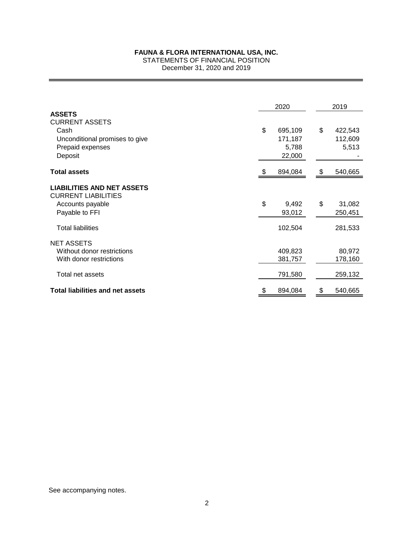## STATEMENTS OF FINANCIAL POSITION

December 31, 2020 and 2019

|                                                                                                                 | 2020                                        | 2019                              |
|-----------------------------------------------------------------------------------------------------------------|---------------------------------------------|-----------------------------------|
| <b>ASSETS</b><br><b>CURRENT ASSETS</b><br>Cash<br>Unconditional promises to give<br>Prepaid expenses<br>Deposit | \$<br>695,109<br>171,187<br>5,788<br>22,000 | \$<br>422,543<br>112,609<br>5,513 |
| <b>Total assets</b>                                                                                             | 894,084                                     | \$<br>540,665                     |
| <b>LIABILITIES AND NET ASSETS</b><br><b>CURRENT LIABILITIES</b><br>Accounts payable<br>Payable to FFI           | \$<br>9,492<br>93,012                       | \$<br>31,082<br>250,451           |
| <b>Total liabilities</b>                                                                                        | 102,504                                     | 281,533                           |
| <b>NET ASSETS</b><br>Without donor restrictions<br>With donor restrictions                                      | 409,823<br>381,757                          | 80,972<br>178,160                 |
| Total net assets                                                                                                | 791,580                                     | 259,132                           |
| <b>Total liabilities and net assets</b>                                                                         | \$<br>894,084                               | \$<br>540,665                     |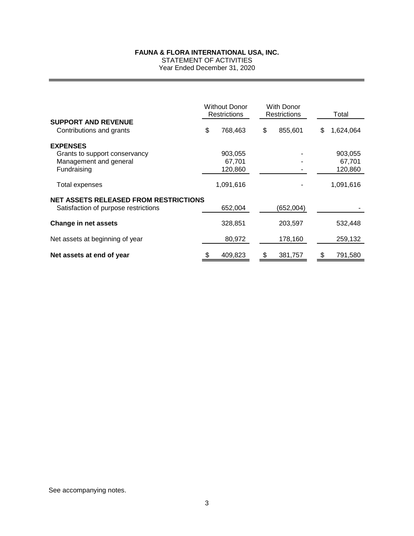STATEMENT OF ACTIVITIES Year Ended December 31, 2020

|                                              | <b>Without Donor</b><br><b>Restrictions</b> | <b>With Donor</b><br>Restrictions |           | Total           |
|----------------------------------------------|---------------------------------------------|-----------------------------------|-----------|-----------------|
| <b>SUPPORT AND REVENUE</b>                   |                                             |                                   |           |                 |
| Contributions and grants                     | \$<br>768,463                               | \$                                | 855,601   | \$<br>1,624,064 |
| <b>EXPENSES</b>                              |                                             |                                   |           |                 |
| Grants to support conservancy                | 903,055                                     |                                   |           | 903,055         |
| Management and general                       | 67.701                                      |                                   |           | 67.701          |
| Fundraising                                  | 120,860                                     |                                   |           | 120,860         |
| Total expenses                               | 1,091,616                                   |                                   |           | 1,091,616       |
| <b>NET ASSETS RELEASED FROM RESTRICTIONS</b> |                                             |                                   |           |                 |
| Satisfaction of purpose restrictions         | 652,004                                     |                                   | (652,004) |                 |
| Change in net assets                         | 328,851                                     |                                   | 203,597   | 532,448         |
| Net assets at beginning of year              | 80,972                                      |                                   | 178,160   | 259,132         |
| Net assets at end of year                    | 409,823                                     | S                                 | 381,757   | \$<br>791,580   |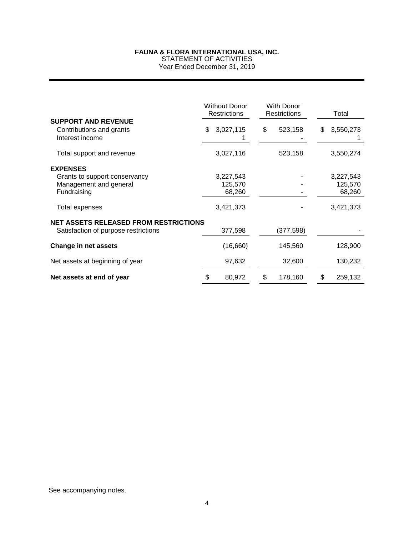STATEMENT OF ACTIVITIES Year Ended December 31, 2019

|                                              | <b>Without Donor</b><br>Restrictions | <b>With Donor</b><br><b>Restrictions</b> | Total           |
|----------------------------------------------|--------------------------------------|------------------------------------------|-----------------|
| <b>SUPPORT AND REVENUE</b>                   |                                      |                                          |                 |
| Contributions and grants                     | \$.<br>3,027,115                     | \$<br>523,158                            | \$<br>3,550,273 |
| Interest income                              |                                      |                                          |                 |
| Total support and revenue                    | 3,027,116                            | 523,158                                  | 3,550,274       |
| <b>EXPENSES</b>                              |                                      |                                          |                 |
| Grants to support conservancy                | 3,227,543                            |                                          | 3,227,543       |
| Management and general                       | 125,570                              |                                          | 125,570         |
| Fundraising                                  | 68,260                               |                                          | 68,260          |
| Total expenses                               | 3,421,373                            |                                          | 3,421,373       |
| <b>NET ASSETS RELEASED FROM RESTRICTIONS</b> |                                      |                                          |                 |
| Satisfaction of purpose restrictions         | 377,598                              | (377,598)                                |                 |
| <b>Change in net assets</b>                  | (16,660)                             | 145,560                                  | 128,900         |
| Net assets at beginning of year              | 97,632                               | 32,600                                   | 130,232         |
| Net assets at end of year                    | 80,972                               | 178,160<br>\$                            | 259,132<br>\$   |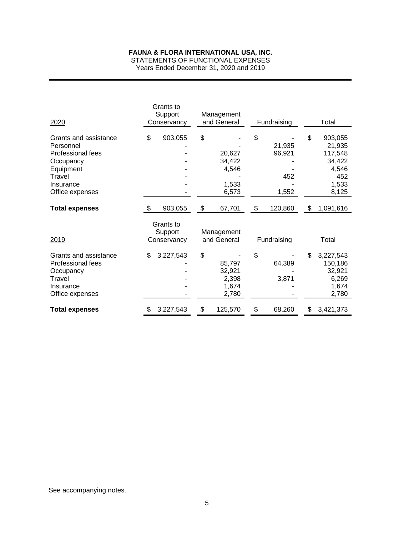STATEMENTS OF FUNCTIONAL EXPENSES

Years Ended December 31, 2020 and 2019

| 2020                                                                                                                        | Grants to<br>Support<br>Conservancy | Management<br>and General                         | Fundraising                            | Total                                                                          |
|-----------------------------------------------------------------------------------------------------------------------------|-------------------------------------|---------------------------------------------------|----------------------------------------|--------------------------------------------------------------------------------|
| Grants and assistance<br>Personnel<br>Professional fees<br>Occupancy<br>Equipment<br>Travel<br>Insurance<br>Office expenses | \$<br>903,055                       | \$<br>20,627<br>34,422<br>4,546<br>1,533<br>6,573 | \$<br>21,935<br>96,921<br>452<br>1,552 | \$<br>903,055<br>21,935<br>117,548<br>34,422<br>4,546<br>452<br>1,533<br>8,125 |
| <b>Total expenses</b>                                                                                                       | 903,055                             | \$<br>67,701                                      | 120,860                                | \$<br>1,091,616                                                                |
| 2019                                                                                                                        | Grants to<br>Support<br>Conservancy | Management<br>and General                         | Fundraising                            | Total                                                                          |
| Grants and assistance<br>Professional fees<br>Occupancy<br>Travel<br>Insurance<br>Office expenses                           | \$<br>3,227,543                     | \$<br>85,797<br>32,921<br>2,398<br>1,674<br>2,780 | \$<br>64,389<br>3,871                  | \$<br>3,227,543<br>150,186<br>32,921<br>6,269<br>1,674<br>2,780                |
| <b>Total expenses</b>                                                                                                       | \$<br>3,227,543                     | \$<br>125,570                                     | \$<br>68,260                           | \$<br>3,421,373                                                                |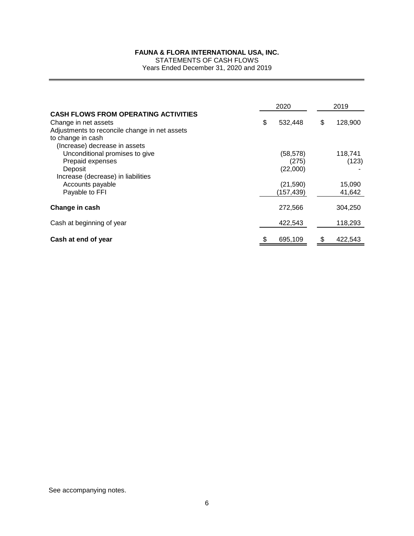STATEMENTS OF CASH FLOWS Years Ended December 31, 2020 and 2019

|                                                                                                                                                                            | 2020 |                                | 2019 |                  |
|----------------------------------------------------------------------------------------------------------------------------------------------------------------------------|------|--------------------------------|------|------------------|
| <b>CASH FLOWS FROM OPERATING ACTIVITIES</b><br>Change in net assets<br>Adjustments to reconcile change in net assets<br>to change in cash<br>(Increase) decrease in assets | \$   | 532,448                        | \$   | 128,900          |
| Unconditional promises to give<br>Prepaid expenses<br>Deposit<br>Increase (decrease) in liabilities                                                                        |      | (58, 578)<br>(275)<br>(22,000) |      | 118.741<br>(123) |
| Accounts payable<br>Payable to FFI                                                                                                                                         |      | (21, 590)<br>(157, 439)        |      | 15,090<br>41,642 |
| Change in cash                                                                                                                                                             |      | 272,566                        |      | 304,250          |
| Cash at beginning of year                                                                                                                                                  |      | 422,543                        |      | 118,293          |
| Cash at end of year                                                                                                                                                        |      | 695,109                        |      | 422,543          |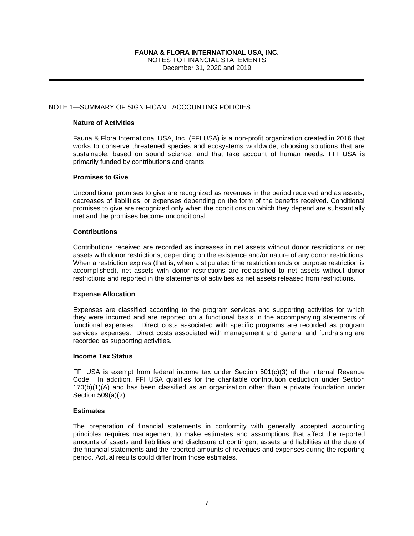NOTES TO FINANCIAL STATEMENTS

December 31, 2020 and 2019

## NOTE 1—SUMMARY OF SIGNIFICANT ACCOUNTING POLICIES

## **Nature of Activities**

Fauna & Flora International USA, Inc. (FFI USA) is a non-profit organization created in 2016 that works to conserve threatened species and ecosystems worldwide, choosing solutions that are sustainable, based on sound science, and that take account of human needs. FFI USA is primarily funded by contributions and grants.

#### **Promises to Give**

Unconditional promises to give are recognized as revenues in the period received and as assets, decreases of liabilities, or expenses depending on the form of the benefits received. Conditional promises to give are recognized only when the conditions on which they depend are substantially met and the promises become unconditional.

#### **Contributions**

Contributions received are recorded as increases in net assets without donor restrictions or net assets with donor restrictions, depending on the existence and/or nature of any donor restrictions. When a restriction expires (that is, when a stipulated time restriction ends or purpose restriction is accomplished), net assets with donor restrictions are reclassified to net assets without donor restrictions and reported in the statements of activities as net assets released from restrictions.

## **Expense Allocation**

Expenses are classified according to the program services and supporting activities for which they were incurred and are reported on a functional basis in the accompanying statements of functional expenses. Direct costs associated with specific programs are recorded as program services expenses. Direct costs associated with management and general and fundraising are recorded as supporting activities.

#### **Income Tax Status**

FFI USA is exempt from federal income tax under Section 501(c)(3) of the Internal Revenue Code. In addition, FFI USA qualifies for the charitable contribution deduction under Section 170(b)(1)(A) and has been classified as an organization other than a private foundation under Section 509(a)(2).

#### **Estimates**

The preparation of financial statements in conformity with generally accepted accounting principles requires management to make estimates and assumptions that affect the reported amounts of assets and liabilities and disclosure of contingent assets and liabilities at the date of the financial statements and the reported amounts of revenues and expenses during the reporting period. Actual results could differ from those estimates.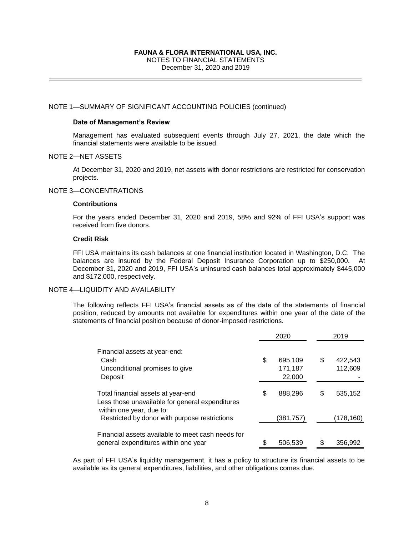# NOTES TO FINANCIAL STATEMENTS

December 31, 2020 and 2019

# NOTE 1—SUMMARY OF SIGNIFICANT ACCOUNTING POLICIES (continued)

#### **Date of Management's Review**

Management has evaluated subsequent events through July 27, 2021, the date which the financial statements were available to be issued.

#### NOTE 2—NET ASSETS

At December 31, 2020 and 2019, net assets with donor restrictions are restricted for conservation projects.

# NOTE 3—CONCENTRATIONS

#### **Contributions**

For the years ended December 31, 2020 and 2019, 58% and 92% of FFI USA's support was received from five donors.

#### **Credit Risk**

FFI USA maintains its cash balances at one financial institution located in Washington, D.C. The balances are insured by the Federal Deposit Insurance Corporation up to \$250,000. At December 31, 2020 and 2019, FFI USA's uninsured cash balances total approximately \$445,000 and \$172,000, respectively.

#### NOTE 4—LIQUIDITY AND AVAILABILITY

The following reflects FFI USA's financial assets as of the date of the statements of financial position, reduced by amounts not available for expenditures within one year of the date of the statements of financial position because of donor-imposed restrictions.

|                                                                                                                   | 2020 |                              |    | 2019               |
|-------------------------------------------------------------------------------------------------------------------|------|------------------------------|----|--------------------|
| Financial assets at year-end:<br>Cash<br>Unconditional promises to give<br>Deposit                                | \$   | 695,109<br>171,187<br>22,000 | \$ | 422,543<br>112,609 |
| Total financial assets at year-end<br>Less those unavailable for general expenditures<br>within one year, due to: | \$   | 888,296                      | \$ | 535,152            |
| Restricted by donor with purpose restrictions                                                                     |      | (381,757)                    |    | (178,160)          |
| Financial assets available to meet cash needs for<br>general expenditures within one year                         |      | 506,539                      |    | 356,992            |

As part of FFI USA's liquidity management, it has a policy to structure its financial assets to be available as its general expenditures, liabilities, and other obligations comes due.